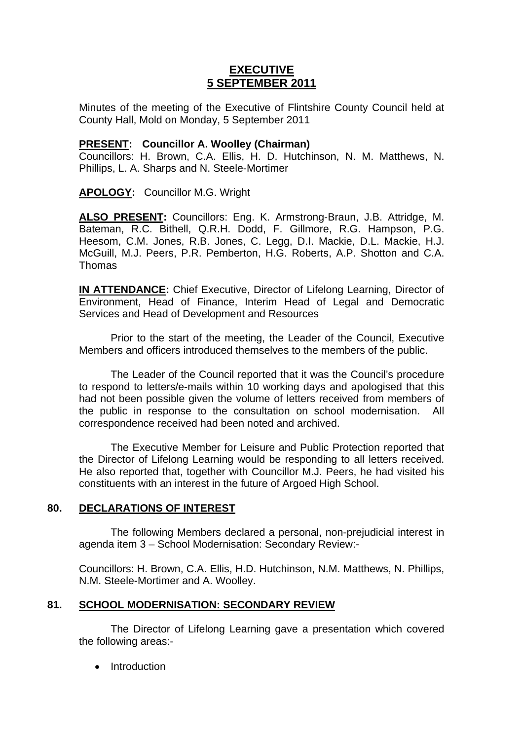# **EXECUTIVE 5 SEPTEMBER 2011**

Minutes of the meeting of the Executive of Flintshire County Council held at County Hall, Mold on Monday, 5 September 2011

### **PRESENT: Councillor A. Woolley (Chairman)**

Councillors: H. Brown, C.A. Ellis, H. D. Hutchinson, N. M. Matthews, N. Phillips, L. A. Sharps and N. Steele-Mortimer

## **APOLOGY:** Councillor M.G. Wright

**ALSO PRESENT:** Councillors: Eng. K. Armstrong-Braun, J.B. Attridge, M. Bateman, R.C. Bithell, Q.R.H. Dodd, F. Gillmore, R.G. Hampson, P.G. Heesom, C.M. Jones, R.B. Jones, C. Legg, D.I. Mackie, D.L. Mackie, H.J. McGuill, M.J. Peers, P.R. Pemberton, H.G. Roberts, A.P. Shotton and C.A. Thomas

**IN ATTENDANCE:** Chief Executive, Director of Lifelong Learning, Director of Environment, Head of Finance, Interim Head of Legal and Democratic Services and Head of Development and Resources

Prior to the start of the meeting, the Leader of the Council, Executive Members and officers introduced themselves to the members of the public.

The Leader of the Council reported that it was the Council's procedure to respond to letters/e-mails within 10 working days and apologised that this had not been possible given the volume of letters received from members of the public in response to the consultation on school modernisation. All correspondence received had been noted and archived.

The Executive Member for Leisure and Public Protection reported that the Director of Lifelong Learning would be responding to all letters received. He also reported that, together with Councillor M.J. Peers, he had visited his constituents with an interest in the future of Argoed High School.

#### **80. DECLARATIONS OF INTEREST**

 The following Members declared a personal, non-prejudicial interest in agenda item 3 – School Modernisation: Secondary Review:-

Councillors: H. Brown, C.A. Ellis, H.D. Hutchinson, N.M. Matthews, N. Phillips, N.M. Steele-Mortimer and A. Woolley.

## **81. SCHOOL MODERNISATION: SECONDARY REVIEW**

 The Director of Lifelong Learning gave a presentation which covered the following areas:-

• Introduction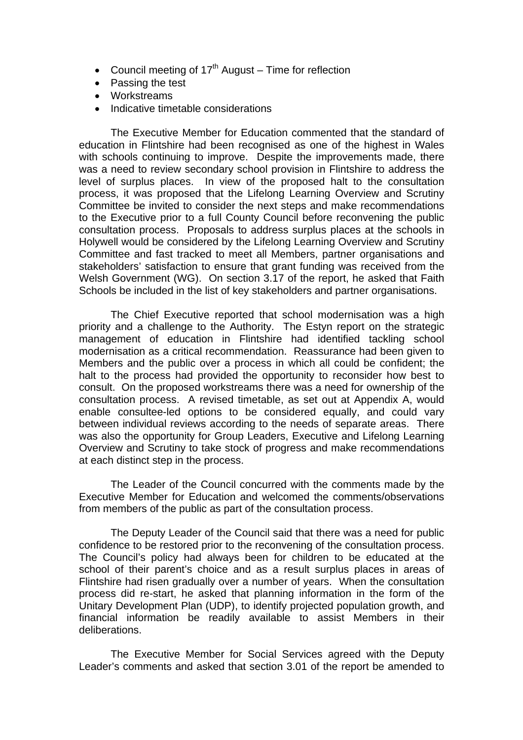- Council meeting of  $17<sup>th</sup>$  August Time for reflection
- Passing the test
- Workstreams
- Indicative timetable considerations

 The Executive Member for Education commented that the standard of education in Flintshire had been recognised as one of the highest in Wales with schools continuing to improve. Despite the improvements made, there was a need to review secondary school provision in Flintshire to address the level of surplus places. In view of the proposed halt to the consultation process, it was proposed that the Lifelong Learning Overview and Scrutiny Committee be invited to consider the next steps and make recommendations to the Executive prior to a full County Council before reconvening the public consultation process. Proposals to address surplus places at the schools in Holywell would be considered by the Lifelong Learning Overview and Scrutiny Committee and fast tracked to meet all Members, partner organisations and stakeholders' satisfaction to ensure that grant funding was received from the Welsh Government (WG). On section 3.17 of the report, he asked that Faith Schools be included in the list of key stakeholders and partner organisations.

 The Chief Executive reported that school modernisation was a high priority and a challenge to the Authority. The Estyn report on the strategic management of education in Flintshire had identified tackling school modernisation as a critical recommendation. Reassurance had been given to Members and the public over a process in which all could be confident; the halt to the process had provided the opportunity to reconsider how best to consult. On the proposed workstreams there was a need for ownership of the consultation process. A revised timetable, as set out at Appendix A, would enable consultee-led options to be considered equally, and could vary between individual reviews according to the needs of separate areas. There was also the opportunity for Group Leaders, Executive and Lifelong Learning Overview and Scrutiny to take stock of progress and make recommendations at each distinct step in the process.

 The Leader of the Council concurred with the comments made by the Executive Member for Education and welcomed the comments/observations from members of the public as part of the consultation process.

The Deputy Leader of the Council said that there was a need for public confidence to be restored prior to the reconvening of the consultation process. The Council's policy had always been for children to be educated at the school of their parent's choice and as a result surplus places in areas of Flintshire had risen gradually over a number of years. When the consultation process did re-start, he asked that planning information in the form of the Unitary Development Plan (UDP), to identify projected population growth, and financial information be readily available to assist Members in their deliberations.

 The Executive Member for Social Services agreed with the Deputy Leader's comments and asked that section 3.01 of the report be amended to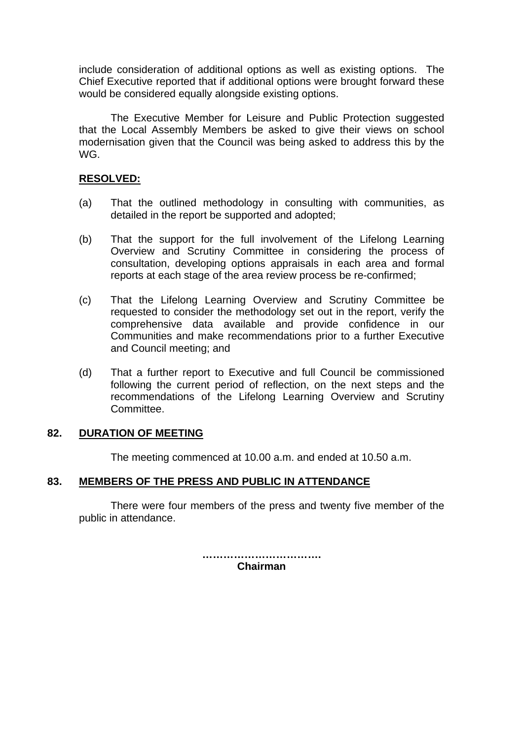include consideration of additional options as well as existing options. The Chief Executive reported that if additional options were brought forward these would be considered equally alongside existing options.

The Executive Member for Leisure and Public Protection suggested that the Local Assembly Members be asked to give their views on school modernisation given that the Council was being asked to address this by the WG.

### **RESOLVED:**

- (a) That the outlined methodology in consulting with communities, as detailed in the report be supported and adopted;
- (b) That the support for the full involvement of the Lifelong Learning Overview and Scrutiny Committee in considering the process of consultation, developing options appraisals in each area and formal reports at each stage of the area review process be re-confirmed;
- (c) That the Lifelong Learning Overview and Scrutiny Committee be requested to consider the methodology set out in the report, verify the comprehensive data available and provide confidence in our Communities and make recommendations prior to a further Executive and Council meeting; and
- (d) That a further report to Executive and full Council be commissioned following the current period of reflection, on the next steps and the recommendations of the Lifelong Learning Overview and Scrutiny Committee.

#### **82. DURATION OF MEETING**

The meeting commenced at 10.00 a.m. and ended at 10.50 a.m.

## **83. MEMBERS OF THE PRESS AND PUBLIC IN ATTENDANCE**

There were four members of the press and twenty five member of the public in attendance.

> **……………………………. Chairman**